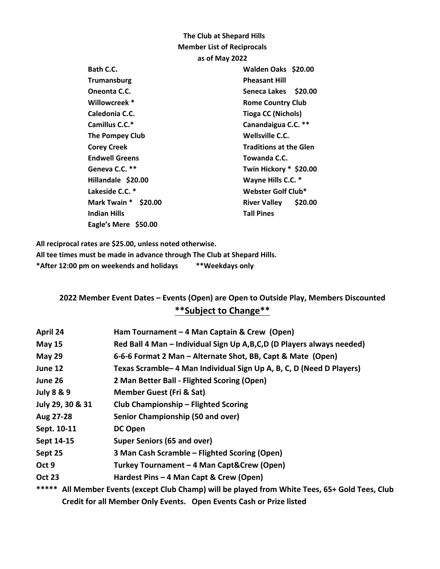## **The Club at Shepard Hills Member List of Reciprocals as of May 2022 Bath C.C. Walden Oaks \$20.00 Trumansburg Pheasant Hill Oneonta C.C.** Seneca Lakes \$20.00 Willowcreek \* The Rome Country Club **Caledonia C.C. Tioga CC (Nichols) Camillus C.C.\* Canandaigua C.C. \*\* The Pompey Club Wellsville C.C. Corey Creek Cores Creek Cores Cores Cores Creek Cores Creek Cores Creek Cores Creek Cores Creek Cores Creek Cores Creek Cores Creek Cores Creek Cores Creek Cores Creek Cores Creek Cores Creek Cores Creek Cores Creek Cores** Endwell Greens **Towanda C.C.** Geneva C.C. \*\* Twin Hickory \* \$20.00 **Hillandale \$20.00 Wayne Hills C.C. \***  Lakeside C.C. \* Webster Golf Club\* **Mark Twain \* \$20.00 River Valley \$20.00 Indian Hills Tall Pines Eagle's Mere \$50.00**

**All reciprocal rates are \$25.00, unless noted otherwise.**

**All tee times must be made in advance through The Club at Shepard Hills.**

**\*After 12:00 pm on weekends and holidays \*\*Weekdays only**

## **2022 Member Event Dates – Events (Open) are Open to Outside Play, Members Discounted \*\*Subject to Change\*\***

| April 24              | Ham Tournament $-4$ Man Captain & Crew (Open)                                                   |  |
|-----------------------|-------------------------------------------------------------------------------------------------|--|
| <b>May 15</b>         | Red Ball 4 Man - Individual Sign Up A, B, C, D (D Players always needed)                        |  |
| May 29                | 6-6-6 Format 2 Man – Alternate Shot, BB, Capt & Mate (Open)                                     |  |
| June 12               | Texas Scramble-4 Man Individual Sign Up A, B, C, D (Need D Players)                             |  |
| June 26               | 2 Man Better Ball - Flighted Scoring (Open)                                                     |  |
| <b>July 8 &amp; 9</b> | <b>Member Guest (Fri &amp; Sat)</b>                                                             |  |
| July 29, 30 & 31      | <b>Club Championship - Flighted Scoring</b>                                                     |  |
| Aug 27-28             | Senior Championship (50 and over)                                                               |  |
| Sept. 10-11           | DC Open                                                                                         |  |
| Sept 14-15            | Super Seniors (65 and over)                                                                     |  |
| Sept 25               | 3 Man Cash Scramble – Flighted Scoring (Open)                                                   |  |
| Oct 9                 | Turkey Tournament - 4 Man Capt&Crew (Open)                                                      |  |
| <b>Oct 23</b>         | Hardest Pins - 4 Man Capt & Crew (Open)                                                         |  |
|                       | ***** All Mambar Fuante Loveant Club Champi will be played from White Teas, CEL Cald Teas, Club |  |

**\*\*\*\*\* All Member Events (except Club Champ) will be played from White Tees, 65+ Gold Tees, Club Credit for all Member Only Events. Open Events Cash or Prize listed**